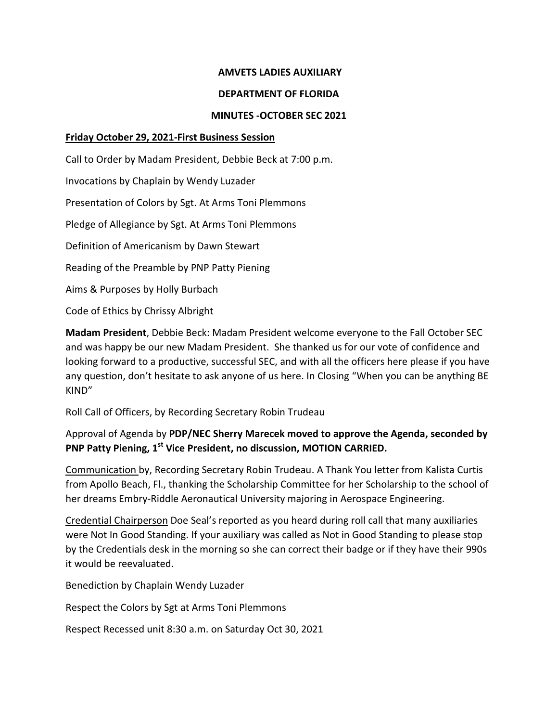## **AMVETS LADIES AUXILIARY**

#### **DEPARTMENT OF FLORIDA**

#### **MINUTES -OCTOBER SEC 2021**

## **Friday October 29, 2021-First Business Session**

Call to Order by Madam President, Debbie Beck at 7:00 p.m.

Invocations by Chaplain by Wendy Luzader

Presentation of Colors by Sgt. At Arms Toni Plemmons

Pledge of Allegiance by Sgt. At Arms Toni Plemmons

Definition of Americanism by Dawn Stewart

Reading of the Preamble by PNP Patty Piening

Aims & Purposes by Holly Burbach

Code of Ethics by Chrissy Albright

**Madam President**, Debbie Beck: Madam President welcome everyone to the Fall October SEC and was happy be our new Madam President. She thanked us for our vote of confidence and looking forward to a productive, successful SEC, and with all the officers here please if you have any question, don't hesitate to ask anyone of us here. In Closing "When you can be anything BE KIND"

Roll Call of Officers, by Recording Secretary Robin Trudeau

# Approval of Agenda by **PDP/NEC Sherry Marecek moved to approve the Agenda, seconded by PNP Patty Piening, 1 st Vice President, no discussion, MOTION CARRIED.**

Communication by, Recording Secretary Robin Trudeau. A Thank You letter from Kalista Curtis from Apollo Beach, Fl., thanking the Scholarship Committee for her Scholarship to the school of her dreams Embry-Riddle Aeronautical University majoring in Aerospace Engineering.

Credential Chairperson Doe Seal's reported as you heard during roll call that many auxiliaries were Not In Good Standing. If your auxiliary was called as Not in Good Standing to please stop by the Credentials desk in the morning so she can correct their badge or if they have their 990s it would be reevaluated.

Benediction by Chaplain Wendy Luzader

Respect the Colors by Sgt at Arms Toni Plemmons

Respect Recessed unit 8:30 a.m. on Saturday Oct 30, 2021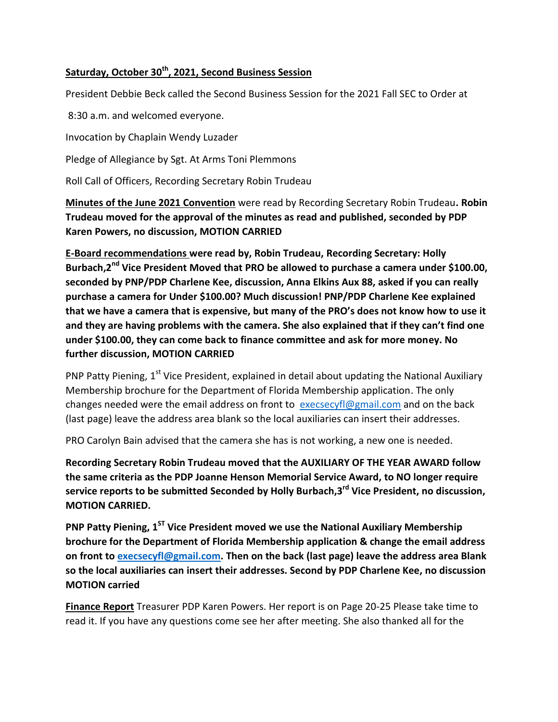# **Saturday, October 30th , 2021, Second Business Session**

President Debbie Beck called the Second Business Session for the 2021 Fall SEC to Order at

8:30 a.m. and welcomed everyone.

Invocation by Chaplain Wendy Luzader

Pledge of Allegiance by Sgt. At Arms Toni Plemmons

Roll Call of Officers, Recording Secretary Robin Trudeau

**Minutes of the June 2021 Convention** were read by Recording Secretary Robin Trudeau**. Robin Trudeau moved for the approval of the minutes as read and published, seconded by PDP Karen Powers, no discussion, MOTION CARRIED**

**E-Board recommendations were read by, Robin Trudeau, Recording Secretary: Holly Burbach,2nd Vice President Moved that PRO be allowed to purchase a camera under \$100.00, seconded by PNP/PDP Charlene Kee, discussion, Anna Elkins Aux 88, asked if you can really purchase a camera for Under \$100.00? Much discussion! PNP/PDP Charlene Kee explained that we have a camera that is expensive, but many of the PRO's does not know how to use it and they are having problems with the camera. She also explained that if they can't find one under \$100.00, they can come back to finance committee and ask for more money. No further discussion, MOTION CARRIED**

PNP Patty Piening, 1<sup>st</sup> Vice President, explained in detail about updating the National Auxiliary Membership brochure for the Department of Florida Membership application. The only changes needed were the email address on front to  $execscyl@gmail.com$  and on the back (last page) leave the address area blank so the local auxiliaries can insert their addresses.

PRO Carolyn Bain advised that the camera she has is not working, a new one is needed.

**Recording Secretary Robin Trudeau moved that the AUXILIARY OF THE YEAR AWARD follow the same criteria as the PDP Joanne Henson Memorial Service Award, to NO longer require service reports to be submitted Seconded by Holly Burbach,3 rd Vice President, no discussion, MOTION CARRIED.**

**PNP Patty Piening, 1ST Vice President moved we use the National Auxiliary Membership brochure for the Department of Florida Membership application & change the email address on front t[o execsecyfl@gmail.com.](mailto:execsecyfl@gmail.com) Then on the back (last page) leave the address area Blank so the local auxiliaries can insert their addresses. Second by PDP Charlene Kee, no discussion MOTION carried**

**Finance Report** Treasurer PDP Karen Powers. Her report is on Page 20-25 Please take time to read it. If you have any questions come see her after meeting. She also thanked all for the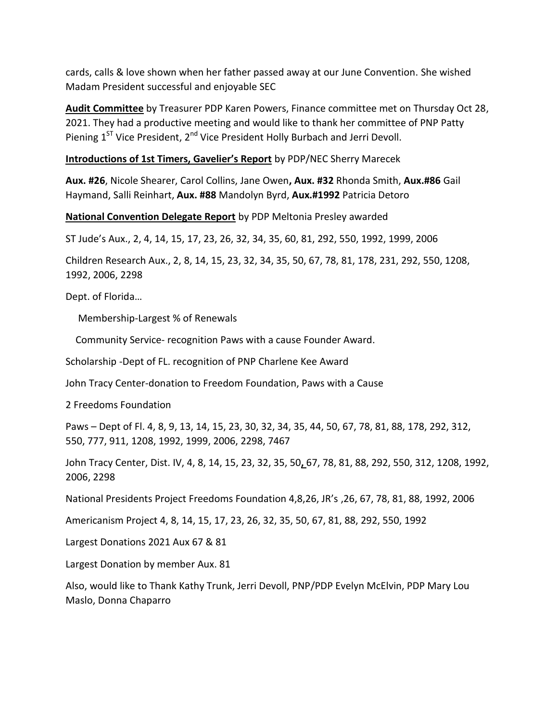cards, calls & love shown when her father passed away at our June Convention. She wished Madam President successful and enjoyable SEC

**Audit Committee** by Treasurer PDP Karen Powers, Finance committee met on Thursday Oct 28, 2021. They had a productive meeting and would like to thank her committee of PNP Patty Piening 1<sup>ST</sup> Vice President, 2<sup>nd</sup> Vice President Holly Burbach and Jerri Devoll.

## **Introductions of 1st Timers, Gavelier's Report** by PDP/NEC Sherry Marecek

**Aux. #26**, Nicole Shearer, Carol Collins, Jane Owen**, Aux. #32** Rhonda Smith, **Aux.#86** Gail Haymand, Salli Reinhart, **Aux. #88** Mandolyn Byrd, **Aux.#1992** Patricia Detoro

**National Convention Delegate Report** by PDP Meltonia Presley awarded

ST Jude's Aux., 2, 4, 14, 15, 17, 23, 26, 32, 34, 35, 60, 81, 292, 550, 1992, 1999, 2006

Children Research Aux., 2, 8, 14, 15, 23, 32, 34, 35, 50, 67, 78, 81, 178, 231, 292, 550, 1208, 1992, 2006, 2298

Dept. of Florida…

Membership-Largest % of Renewals

Community Service- recognition Paws with a cause Founder Award.

Scholarship -Dept of FL. recognition of PNP Charlene Kee Award

John Tracy Center-donation to Freedom Foundation, Paws with a Cause

2 Freedoms Foundation

Paws – Dept of Fl. 4, 8, 9, 13, 14, 15, 23, 30, 32, 34, 35, 44, 50, 67, 78, 81, 88, 178, 292, 312, 550, 777, 911, 1208, 1992, 1999, 2006, 2298, 7467

John Tracy Center, Dist. IV, 4, 8, 14, 15, 23, 32, 35, 50**,** 67, 78, 81, 88, 292, 550, 312, 1208, 1992, 2006, 2298

National Presidents Project Freedoms Foundation 4,8,26, JR's ,26, 67, 78, 81, 88, 1992, 2006

Americanism Project 4, 8, 14, 15, 17, 23, 26, 32, 35, 50, 67, 81, 88, 292, 550, 1992

Largest Donations 2021 Aux 67 & 81

Largest Donation by member Aux. 81

Also, would like to Thank Kathy Trunk, Jerri Devoll, PNP/PDP Evelyn McElvin, PDP Mary Lou Maslo, Donna Chaparro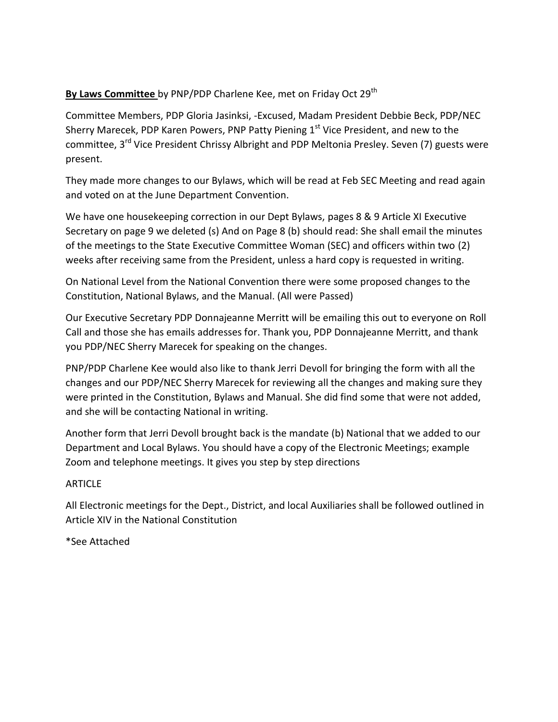# By Laws Committee by PNP/PDP Charlene Kee, met on Friday Oct 29<sup>th</sup>

Committee Members, PDP Gloria Jasinksi, -Excused, Madam President Debbie Beck, PDP/NEC Sherry Marecek, PDP Karen Powers, PNP Patty Piening 1<sup>st</sup> Vice President, and new to the committee, 3<sup>rd</sup> Vice President Chrissy Albright and PDP Meltonia Presley. Seven (7) guests were present.

They made more changes to our Bylaws, which will be read at Feb SEC Meeting and read again and voted on at the June Department Convention.

We have one housekeeping correction in our Dept Bylaws, pages 8 & 9 Article XI Executive Secretary on page 9 we deleted (s) And on Page 8 (b) should read: She shall email the minutes of the meetings to the State Executive Committee Woman (SEC) and officers within two (2) weeks after receiving same from the President, unless a hard copy is requested in writing.

On National Level from the National Convention there were some proposed changes to the Constitution, National Bylaws, and the Manual. (All were Passed)

Our Executive Secretary PDP Donnajeanne Merritt will be emailing this out to everyone on Roll Call and those she has emails addresses for. Thank you, PDP Donnajeanne Merritt, and thank you PDP/NEC Sherry Marecek for speaking on the changes.

PNP/PDP Charlene Kee would also like to thank Jerri Devoll for bringing the form with all the changes and our PDP/NEC Sherry Marecek for reviewing all the changes and making sure they were printed in the Constitution, Bylaws and Manual. She did find some that were not added, and she will be contacting National in writing.

Another form that Jerri Devoll brought back is the mandate (b) National that we added to our Department and Local Bylaws. You should have a copy of the Electronic Meetings; example Zoom and telephone meetings. It gives you step by step directions

## **ARTICLF**

All Electronic meetings for the Dept., District, and local Auxiliaries shall be followed outlined in Article XIV in the National Constitution

\*See Attached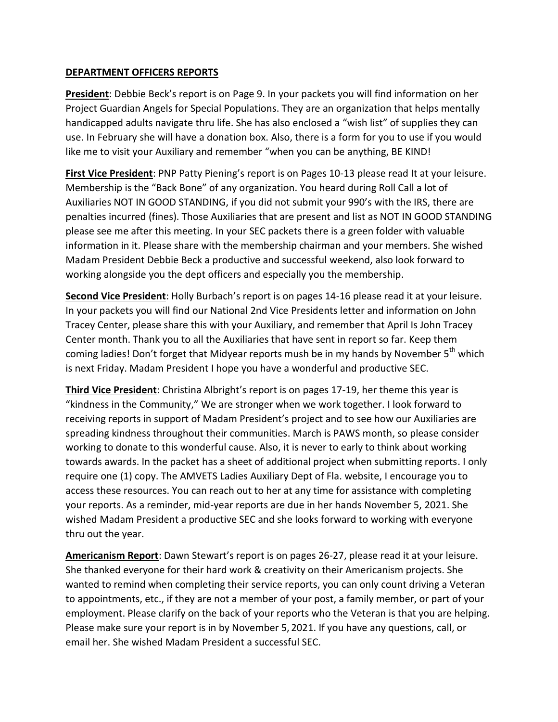## **DEPARTMENT OFFICERS REPORTS**

**President**: Debbie Beck's report is on Page 9. In your packets you will find information on her Project Guardian Angels for Special Populations. They are an organization that helps mentally handicapped adults navigate thru life. She has also enclosed a "wish list" of supplies they can use. In February she will have a donation box. Also, there is a form for you to use if you would like me to visit your Auxiliary and remember "when you can be anything, BE KIND!

**First Vice President**: PNP Patty Piening's report is on Pages 10-13 please read It at your leisure. Membership is the "Back Bone" of any organization. You heard during Roll Call a lot of Auxiliaries NOT IN GOOD STANDING, if you did not submit your 990's with the IRS, there are penalties incurred (fines). Those Auxiliaries that are present and list as NOT IN GOOD STANDING please see me after this meeting. In your SEC packets there is a green folder with valuable information in it. Please share with the membership chairman and your members. She wished Madam President Debbie Beck a productive and successful weekend, also look forward to working alongside you the dept officers and especially you the membership.

**Second Vice President**: Holly Burbach's report is on pages 14-16 please read it at your leisure. In your packets you will find our National 2nd Vice Presidents letter and information on John Tracey Center, please share this with your Auxiliary, and remember that April Is John Tracey Center month. Thank you to all the Auxiliaries that have sent in report so far. Keep them coming ladies! Don't forget that Midyear reports mush be in my hands by November 5<sup>th</sup> which is next Friday. Madam President I hope you have a wonderful and productive SEC.

**Third Vice President**: Christina Albright's report is on pages 17-19, her theme this year is "kindness in the Community," We are stronger when we work together. I look forward to receiving reports in support of Madam President's project and to see how our Auxiliaries are spreading kindness throughout their communities. March is PAWS month, so please consider working to donate to this wonderful cause. Also, it is never to early to think about working towards awards. In the packet has a sheet of additional project when submitting reports. I only require one (1) copy. The AMVETS Ladies Auxiliary Dept of Fla. website, I encourage you to access these resources. You can reach out to her at any time for assistance with completing your reports. As a reminder, mid-year reports are due in her hands November 5, 2021. She wished Madam President a productive SEC and she looks forward to working with everyone thru out the year.

**Americanism Report**: Dawn Stewart's report is on pages 26-27, please read it at your leisure. She thanked everyone for their hard work & creativity on their Americanism projects. She wanted to remind when completing their service reports, you can only count driving a Veteran to appointments, etc., if they are not a member of your post, a family member, or part of your employment. Please clarify on the back of your reports who the Veteran is that you are helping. Please make sure your report is in by November 5, 2021. If you have any questions, call, or email her. She wished Madam President a successful SEC.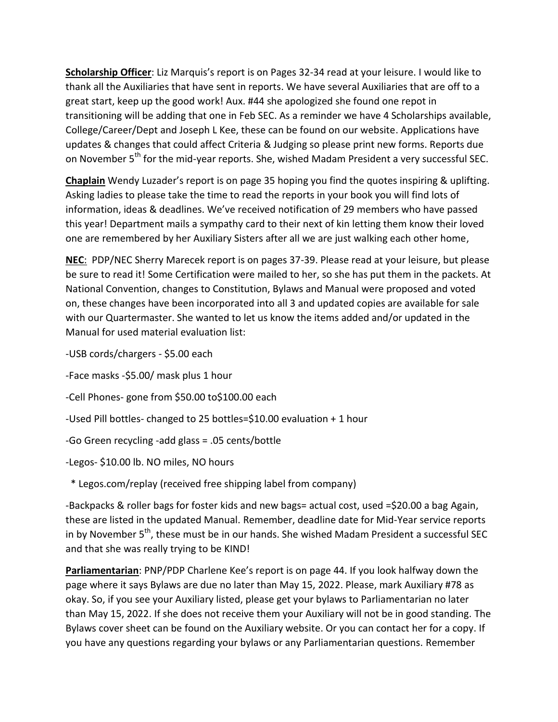**Scholarship Officer**: Liz Marquis's report is on Pages 32-34 read at your leisure. I would like to thank all the Auxiliaries that have sent in reports. We have several Auxiliaries that are off to a great start, keep up the good work! Aux. #44 she apologized she found one repot in transitioning will be adding that one in Feb SEC. As a reminder we have 4 Scholarships available, College/Career/Dept and Joseph L Kee, these can be found on our website. Applications have updates & changes that could affect Criteria & Judging so please print new forms. Reports due on November 5<sup>th</sup> for the mid-year reports. She, wished Madam President a very successful SEC.

**Chaplain** Wendy Luzader's report is on page 35 hoping you find the quotes inspiring & uplifting. Asking ladies to please take the time to read the reports in your book you will find lots of information, ideas & deadlines. We've received notification of 29 members who have passed this year! Department mails a sympathy card to their next of kin letting them know their loved one are remembered by her Auxiliary Sisters after all we are just walking each other home,

**NEC**: PDP/NEC Sherry Marecek report is on pages 37-39. Please read at your leisure, but please be sure to read it! Some Certification were mailed to her, so she has put them in the packets. At National Convention, changes to Constitution, Bylaws and Manual were proposed and voted on, these changes have been incorporated into all 3 and updated copies are available for sale with our Quartermaster. She wanted to let us know the items added and/or updated in the Manual for used material evaluation list:

-USB cords/chargers - \$5.00 each

-Face masks -\$5.00/ mask plus 1 hour

-Cell Phones- gone from \$50.00 to\$100.00 each

-Used Pill bottles- changed to 25 bottles=\$10.00 evaluation + 1 hour

-Go Green recycling -add glass = .05 cents/bottle

-Legos- \$10.00 lb. NO miles, NO hours

\* Legos.com/replay (received free shipping label from company)

-Backpacks & roller bags for foster kids and new bags= actual cost, used =\$20.00 a bag Again, these are listed in the updated Manual. Remember, deadline date for Mid-Year service reports in by November 5<sup>th</sup>, these must be in our hands. She wished Madam President a successful SEC and that she was really trying to be KIND!

**Parliamentarian**: PNP/PDP Charlene Kee's report is on page 44. If you look halfway down the page where it says Bylaws are due no later than May 15, 2022. Please, mark Auxiliary #78 as okay. So, if you see your Auxiliary listed, please get your bylaws to Parliamentarian no later than May 15, 2022. If she does not receive them your Auxiliary will not be in good standing. The Bylaws cover sheet can be found on the Auxiliary website. Or you can contact her for a copy. If you have any questions regarding your bylaws or any Parliamentarian questions. Remember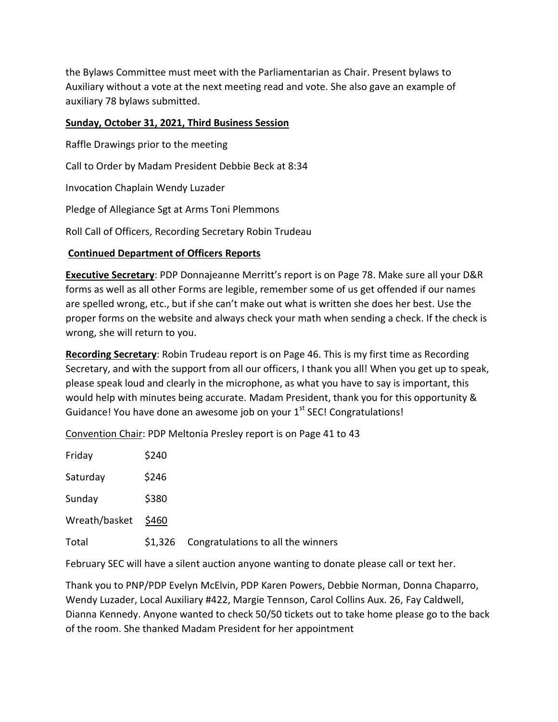the Bylaws Committee must meet with the Parliamentarian as Chair. Present bylaws to Auxiliary without a vote at the next meeting read and vote. She also gave an example of auxiliary 78 bylaws submitted.

## **Sunday, October 31, 2021, Third Business Session**

Raffle Drawings prior to the meeting Call to Order by Madam President Debbie Beck at 8:34 Invocation Chaplain Wendy Luzader Pledge of Allegiance Sgt at Arms Toni Plemmons Roll Call of Officers, Recording Secretary Robin Trudeau

## **Continued Department of Officers Reports**

**Executive Secretary**: PDP Donnajeanne Merritt's report is on Page 78. Make sure all your D&R forms as well as all other Forms are legible, remember some of us get offended if our names are spelled wrong, etc., but if she can't make out what is written she does her best. Use the proper forms on the website and always check your math when sending a check. If the check is wrong, she will return to you.

**Recording Secretary**: Robin Trudeau report is on Page 46. This is my first time as Recording Secretary, and with the support from all our officers, I thank you all! When you get up to speak, please speak loud and clearly in the microphone, as what you have to say is important, this would help with minutes being accurate. Madam President, thank you for this opportunity & Guidance! You have done an awesome job on your 1<sup>st</sup> SEC! Congratulations!

Convention Chair: PDP Meltonia Presley report is on Page 41 to 43

| Friday        | \$240       |                                    |
|---------------|-------------|------------------------------------|
| Saturday      | \$246       |                                    |
| Sunday        | \$380       |                                    |
| Wreath/basket | <b>S460</b> |                                    |
| Total         | \$1,326     | Congratulations to all the winners |

February SEC will have a silent auction anyone wanting to donate please call or text her.

Thank you to PNP/PDP Evelyn McElvin, PDP Karen Powers, Debbie Norman, Donna Chaparro, Wendy Luzader, Local Auxiliary #422, Margie Tennson, Carol Collins Aux. 26, Fay Caldwell, Dianna Kennedy. Anyone wanted to check 50/50 tickets out to take home please go to the back of the room. She thanked Madam President for her appointment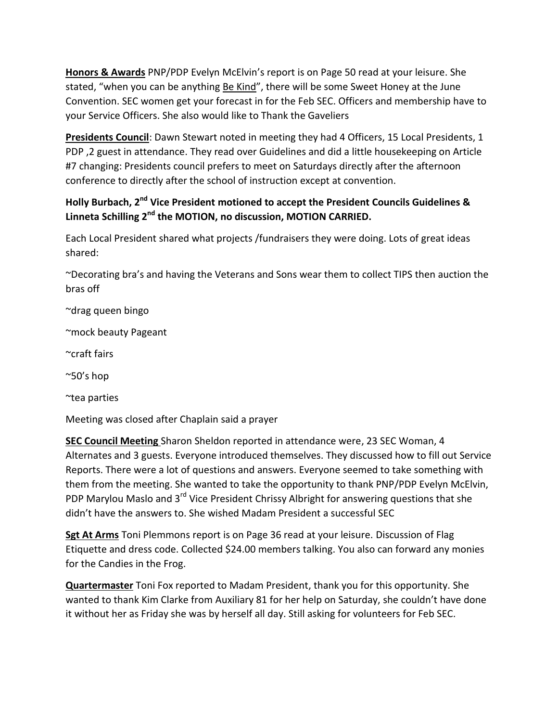**Honors & Awards** PNP/PDP Evelyn McElvin's report is on Page 50 read at your leisure. She stated, "when you can be anything Be Kind", there will be some Sweet Honey at the June Convention. SEC women get your forecast in for the Feb SEC. Officers and membership have to your Service Officers. She also would like to Thank the Gaveliers

**Presidents Council**: Dawn Stewart noted in meeting they had 4 Officers, 15 Local Presidents, 1 PDP ,2 guest in attendance. They read over Guidelines and did a little housekeeping on Article #7 changing: Presidents council prefers to meet on Saturdays directly after the afternoon conference to directly after the school of instruction except at convention.

# **Holly Burbach, 2<sup>nd</sup> Vice President motioned to accept the President Councils Guidelines & Linneta Schilling 2nd the MOTION, no discussion, MOTION CARRIED.**

Each Local President shared what projects /fundraisers they were doing. Lots of great ideas shared:

~Decorating bra's and having the Veterans and Sons wear them to collect TIPS then auction the bras off

~drag queen bingo

~mock beauty Pageant

~craft fairs

 $^{\sim}50's$  hop

~tea parties

Meeting was closed after Chaplain said a prayer

**SEC Council Meeting** Sharon Sheldon reported in attendance were, 23 SEC Woman, 4 Alternates and 3 guests. Everyone introduced themselves. They discussed how to fill out Service Reports. There were a lot of questions and answers. Everyone seemed to take something with them from the meeting. She wanted to take the opportunity to thank PNP/PDP Evelyn McElvin, PDP Marylou Maslo and 3<sup>rd</sup> Vice President Chrissy Albright for answering questions that she didn't have the answers to. She wished Madam President a successful SEC

**Sgt At Arms** Toni Plemmons report is on Page 36 read at your leisure. Discussion of Flag Etiquette and dress code. Collected \$24.00 members talking. You also can forward any monies for the Candies in the Frog.

**Quartermaster** Toni Fox reported to Madam President, thank you for this opportunity. She wanted to thank Kim Clarke from Auxiliary 81 for her help on Saturday, she couldn't have done it without her as Friday she was by herself all day. Still asking for volunteers for Feb SEC.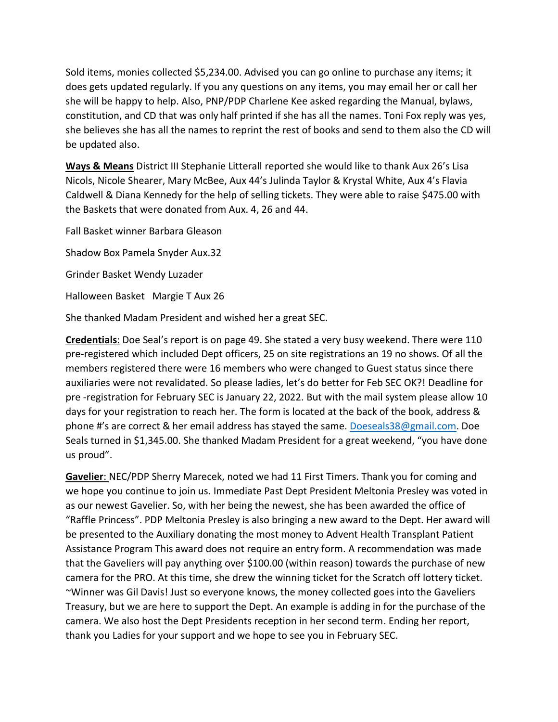Sold items, monies collected \$5,234.00. Advised you can go online to purchase any items; it does gets updated regularly. If you any questions on any items, you may email her or call her she will be happy to help. Also, PNP/PDP Charlene Kee asked regarding the Manual, bylaws, constitution, and CD that was only half printed if she has all the names. Toni Fox reply was yes, she believes she has all the names to reprint the rest of books and send to them also the CD will be updated also.

**Ways & Means** District III Stephanie Litterall reported she would like to thank Aux 26's Lisa Nicols, Nicole Shearer, Mary McBee, Aux 44's Julinda Taylor & Krystal White, Aux 4's Flavia Caldwell & Diana Kennedy for the help of selling tickets. They were able to raise \$475.00 with the Baskets that were donated from Aux. 4, 26 and 44.

Fall Basket winner Barbara Gleason

Shadow Box Pamela Snyder Aux.32

Grinder Basket Wendy Luzader

Halloween Basket Margie T Aux 26

She thanked Madam President and wished her a great SEC.

**Credentials**: Doe Seal's report is on page 49. She stated a very busy weekend. There were 110 pre-registered which included Dept officers, 25 on site registrations an 19 no shows. Of all the members registered there were 16 members who were changed to Guest status since there auxiliaries were not revalidated. So please ladies, let's do better for Feb SEC OK?! Deadline for pre -registration for February SEC is January 22, 2022. But with the mail system please allow 10 days for your registration to reach her. The form is located at the back of the book, address & phone #'s are correct & her email address has stayed the same. [Doeseals38@gmail.com.](mailto:Doeseals38@gmail.com) Doe Seals turned in \$1,345.00. She thanked Madam President for a great weekend, "you have done us proud".

**Gavelier**: NEC/PDP Sherry Marecek, noted we had 11 First Timers. Thank you for coming and we hope you continue to join us. Immediate Past Dept President Meltonia Presley was voted in as our newest Gavelier. So, with her being the newest, she has been awarded the office of "Raffle Princess". PDP Meltonia Presley is also bringing a new award to the Dept. Her award will be presented to the Auxiliary donating the most money to Advent Health Transplant Patient Assistance Program This award does not require an entry form. A recommendation was made that the Gaveliers will pay anything over \$100.00 (within reason) towards the purchase of new camera for the PRO. At this time, she drew the winning ticket for the Scratch off lottery ticket. ~Winner was Gil Davis! Just so everyone knows, the money collected goes into the Gaveliers Treasury, but we are here to support the Dept. An example is adding in for the purchase of the camera. We also host the Dept Presidents reception in her second term. Ending her report, thank you Ladies for your support and we hope to see you in February SEC.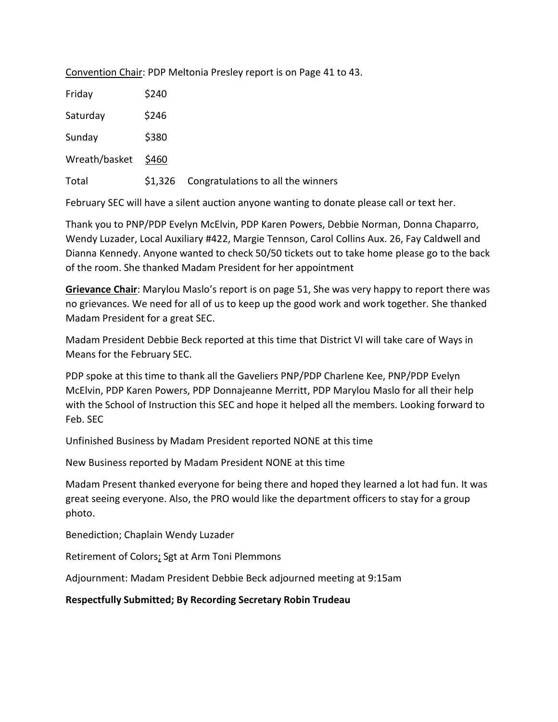Convention Chair: PDP Meltonia Presley report is on Page 41 to 43.

| Friday        | \$240   |                                    |
|---------------|---------|------------------------------------|
| Saturday      | \$246   |                                    |
| Sunday        | \$380   |                                    |
| Wreath/basket | \$460   |                                    |
| Total         | \$1,326 | Congratulations to all the winners |

February SEC will have a silent auction anyone wanting to donate please call or text her.

Thank you to PNP/PDP Evelyn McElvin, PDP Karen Powers, Debbie Norman, Donna Chaparro, Wendy Luzader, Local Auxiliary #422, Margie Tennson, Carol Collins Aux. 26, Fay Caldwell and Dianna Kennedy. Anyone wanted to check 50/50 tickets out to take home please go to the back of the room. She thanked Madam President for her appointment

**Grievance Chair**: Marylou Maslo's report is on page 51, She was very happy to report there was no grievances. We need for all of us to keep up the good work and work together. She thanked Madam President for a great SEC.

Madam President Debbie Beck reported at this time that District VI will take care of Ways in Means for the February SEC.

PDP spoke at this time to thank all the Gaveliers PNP/PDP Charlene Kee, PNP/PDP Evelyn McElvin, PDP Karen Powers, PDP Donnajeanne Merritt, PDP Marylou Maslo for all their help with the School of Instruction this SEC and hope it helped all the members. Looking forward to Feb. SEC

Unfinished Business by Madam President reported NONE at this time

New Business reported by Madam President NONE at this time

Madam Present thanked everyone for being there and hoped they learned a lot had fun. It was great seeing everyone. Also, the PRO would like the department officers to stay for a group photo.

Benediction; Chaplain Wendy Luzader

Retirement of Colors; Sgt at Arm Toni Plemmons

Adjournment: Madam President Debbie Beck adjourned meeting at 9:15am

**Respectfully Submitted; By Recording Secretary Robin Trudeau**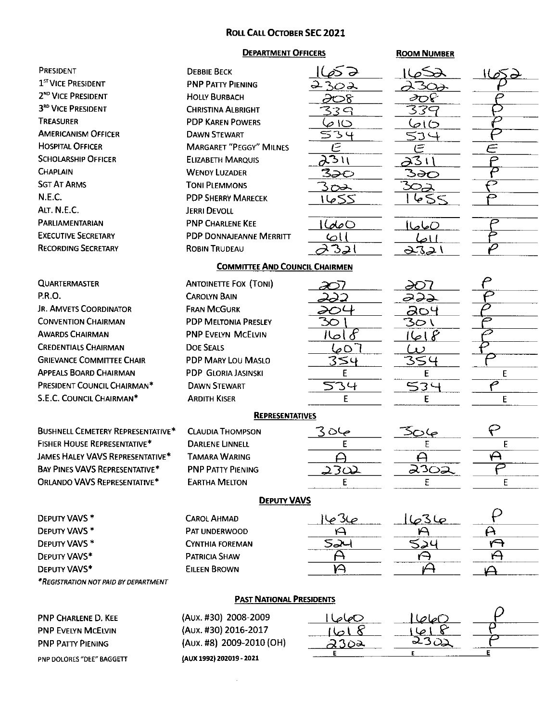#### **ROLL CALL OCTOBER SEC 2021**

#### **DEPARTMENT OFFICERS**

#### **ROOM NUMBER**

| PRESIDENT                                | <b>DEBBIE BECK</b>                           | p I                        |                         | 552   |
|------------------------------------------|----------------------------------------------|----------------------------|-------------------------|-------|
| 1 <sup>ST</sup> VICE PRESIDENT           | <b>PNP PATTY PIENING</b>                     | 2302                       |                         |       |
| 2 <sup>ND</sup> VICE PRESIDENT           | <b>HOLLY BURBACH</b>                         | ∂అ                         | ∂Φ€                     |       |
| 3 <sup>RD</sup> VICE PRESIDENT           | <b>CHRISTINA ALBRIGHT</b>                    | 339                        | 339                     |       |
| TREASURER                                | <b>PDP KAREN POWERS</b>                      | $\varphi$ IO               | 0ا صا                   |       |
| <b>AMERICANISM OFFICER</b>               | <b>DAWN STEWART</b>                          | 534                        | 534                     |       |
| <b>HOSPITAL OFFICER</b>                  | <b>MARGARET "PEGGY" MILNES</b>               | Ē                          | $\mathfrak{S}% _{k}(G)$ | $\in$ |
| <b>SCHOLARSHIP OFFICER</b>               | <b>ELIZABETH MARQUIS</b>                     | $\overline{\lambda^{311}}$ | 231                     |       |
| <b>CHAPLAIN</b>                          | <b>WENDY LUZADER</b>                         | ౩౽౦                        | ౩౽౿                     |       |
| <b>SGT AT ARMS</b>                       | <b>TONI PLEMMONS</b>                         | <u> SOZ</u>                | <u> અત્ર</u>            |       |
| N.E.C.                                   | <b>PDP SHERRY MARECEK</b>                    | ككها                       | २८ २                    |       |
| ALT. N.E.C.                              | <b>JERRI DEVOLL</b>                          |                            |                         |       |
| PARLIAMENTARIAN                          | <b>PNP CHARLENE KEE</b>                      | 0ماصا                      | <u> (صاصا</u>           |       |
| <b>EXECUTIVE SECRETARY</b>               | <b>PDP DONNAJEANNE MERRITT</b>               | 6।                         |                         |       |
| <b>RECORDING SECRETARY</b>               | <b>ROBIN TRUDEAU</b>                         | <u>321</u>                 | ا اط<br>2321            |       |
|                                          |                                              |                            |                         |       |
|                                          | <b>COMMITTEE AND COUNCIL CHAIRMEN</b>        |                            |                         |       |
| <b>QUARTERMASTER</b>                     | <b>ANTOINETTE FOX (TONI)</b>                 |                            | XV)                     |       |
| P.R.O.                                   | <b>CAROLYN BAIN</b>                          | 222                        | ಎುಎ                     |       |
| <b>JR. AMVETS COORDINATOR</b>            | <b>FRAN MCGURK</b>                           |                            | 204                     |       |
| <b>CONVENTION CHAIRMAN</b>               | <b>PDP MELTONIA PRESLEY</b>                  | 30                         | ろつし                     |       |
| <b>AWARDS CHAIRMAN</b>                   | <b>PNP EVELYN MCELVIN</b>                    | $\delta$<br>اصال           | ا صا                    |       |
| <b>CREDENTIALS CHAIRMAN</b>              | <b>DOE SEALS</b>                             | ⊺ ⊘ ص                      | 1)                      |       |
| <b>GRIEVANCE COMMITTEE CHAIR</b>         | PDP MARY LOU MASLO                           | 354                        | 354                     |       |
| <b>APPEALS BOARD CHAIRMAN</b>            | <b>PDP GLORIA JASINSKI</b>                   | E                          | E                       | Е     |
| PRESIDENT COUNCIL CHAIRMAN*              | <b>DAWN STEWART</b>                          | 534                        | 534                     | ○     |
| <b>S.E.C. COUNCIL CHAIRMAN*</b>          | <b>ARDITH KISER</b>                          | E                          | E                       | E     |
|                                          | <b>REPRESENTATIVES</b>                       |                            |                         |       |
| <b>BUSHNELL CEMETERY REPRESENTATIVE*</b> | <b>CLAUDIA THOMPSON</b>                      | ج06 3                      | <u>م) ت&lt;</u>         |       |
| <b>FISHER HOUSE REPRESENTATIVE*</b>      | <b>DARLENE LINNELL</b>                       | E                          | Ε                       | E     |
| <b>JAMES HALEY VAVS REPRESENTATIVE*</b>  | <b>TAMARA WARING</b>                         |                            | A                       | A     |
| <b>BAY PINES VAVS REPRESENTATIVE*</b>    | <b>PNP PATTY PIFNING</b>                     | 2302                       | 230 <u>2</u>            | ▱     |
| <b>ORLANDO VAVS REPRESENTATIVE*</b>      | <b>EARTHA MELTON</b>                         | E                          | E                       | E     |
|                                          |                                              |                            |                         |       |
| <b>DEPUTY VAVS</b>                       |                                              |                            |                         |       |
| DEPUTY VAVS *                            | <b>CAROL AHMAD</b>                           |                            | <u>ما3ما</u>            |       |
| DEPUTY VAVS *                            | PAT UNDERWOOD                                | A                          | A                       |       |
| <b>DEPUTY VAVS*</b>                      | <b>CYNTHIA FOREMAN</b>                       | 524                        | <u> حدڪ</u>             | A     |
| DEPUTY VAVS*                             | <b>PATRICIA SHAW</b>                         |                            | ⊖                       | A     |
| DEPUTY VAVS*                             | <b>EILEEN BROWN</b>                          | $\curvearrowleft$          | ιΑ                      |       |
| *REGISTRATION NOT PAID BY DEPARTMENT     |                                              |                            |                         |       |
| <b>PAST NATIONAL PRESIDENTS</b>          |                                              |                            |                         |       |
|                                          |                                              |                            |                         |       |
| <b>PNP CHARLENE D. KEE</b>               | (AUX. #30) 2008-2009<br>(Aux. #30) 2016-2017 | 0صاصا                      | <u> (ماحا</u>           |       |
| PNP EVELYN MCELVIN                       |                                              |                            | వెంప                    |       |
| <b>PNP PATTY PIENING</b>                 | (AUX. #8) 2009-2010 (OH)                     | 2302                       |                         |       |

PNP PATTY PIENING PNP DOLORES "DEE" BAGGETT (Aux. #8) 2009-2010 (OH) (AUX 1992) 202019 - 2021

 $\sim$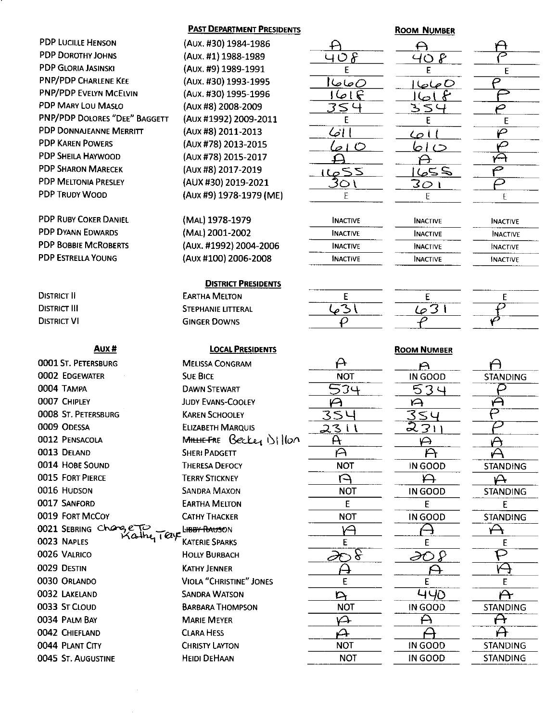## **PDP LUCILLE HENSON PDP DOROTHY JOHNS PDP GLORIA JASINSKI** PNP/PDP CHARLENE KEE **PNP/PDP EVELYN MCELVIN** PDP MARY LOU MASLO PNP/PDP DOLORES "DEE" BAGGETT PDP DONNAJEANNE MERRITT **PDP KAREN POWERS PDP SHEILA HAYWOOD PDP SHARON MARECEK PDP MELTONIA PRESLEY PDP TRUDY WOOD**

**PDP RUBY COKER DANIEL PDP DYANN EDWARDS PDP BOBBIE MCROBERTS PDP ESTRELLA YOUNG** 

**DISTRICT II DISTRICT III DISTRICT VI** 

#### Aux#

**0001 ST. PETERSBURG 0002 EDGEWATER** 0004 TAMPA 0007 CHIPLEY 0008 ST. PETERSBURG 0009 ODESSA 0012 PENSACOLA 0013 DELAND 0014 HOBE SOUND **0015 FORT PIERCE** 0016 HUDSON 0017 SANFORD 0019 FORT MCCOY 0021 SEBRING Change alhe<sub>r</sub> Taye 0023 NAPLES 0026 VALRICO 0029 DESTIN 0030 ORLANDO 0032 LAKELAND 0033 ST CLOUD 0034 PALM BAY 0042 CHIEFLAND 0044 PLANT CITY 0045 ST. AUGUSTINE

#### **PAST DEPARTMENT PRESIDENTS**

(AUX. #30) 1984-1986 (Aux. #1) 1988-1989 (Aux. #9) 1989-1991 (Aux. #30) 1993-1995 (Aux. #30) 1995-1996 (Aux #8) 2008-2009 (Aux #1992) 2009-2011 (Aux #8) 2011-2013 (AUX #78) 2013-2015 (AUX #78) 2015-2017 (Aux #8) 2017-2019 (AUX #30) 2019-2021 (Aux #9) 1978-1979 (ME)

(MAL) 1978-1979 (MAL) 2001-2002 (Aux. #1992) 2004-2006 (Aux #100) 2006-2008

#### **DISTRICT PRESIDENTS**

**EARTHA MELTON STEPHANIE LITTERAL GINGER DOWNS** 

| <b>LOCAL PRESIDENTS</b> |  |
|-------------------------|--|
|                         |  |

**MELISSA CONGRAM SUE BICE DAWN STEWART JUDY EVANS-COOLEY KAREN SCHOOLEY ELIZABETH MARQUIS** MHHEFRE Becker 1)11100 **SHERI PADGETT THERESA DEFOCY TERRY STICKNEY SANDRA MAXON EARTHA MELTON CATHY THACKER** LHBBY RAUSON **KATERIE SPARKS HOLLY BURBACH KATHY JENNER VIOLA "CHRISTINE" JONES SANDRA WATSON BARBARA THOMPSON MARIE MEYER CLARA HESS CHRISTY LAYTON HEIDI DEHAAN** 



#### **ROOM NUMBER**

A  $\Theta$  $40R$ E  $\overline{\rho}$ 0 صاصا ا  $1666$ P 354 E E  $\bar{\varphi}$ Loll ص حبناها  $\overline{\mathsf{H}}$ A ₽  $251$ ت 30 I E Ë

| <b>INACTIVE</b> |
|-----------------|
| <b>INACTIVE</b> |
| <b>INACTIVE</b> |
| <b>INACTIVE</b> |

**INACTIVE INACTIVE INACTIVE INACTIVE** 



**INACTIVE** 

E

# E 631  $\mathcal O$

A

A  $\overline{35L}$ 

 $2311$ 

A

A

**NOT** 

A

**NOT** 

F.

**NOT** 

৸

E

∂শ চ

E

**NOT** 

 $\curvearrowright$ 

 $\boldsymbol{\varphi}$ 

**NOT** 

**NOT** 

 $\mathsf{D}$ 

**NOT** 

534



# E

#### **ROOM NUMBER**  $\Delta$

A **STANDING** ρ  $\Theta$ P A А **STANDING**  $\forall$ **STANDING** E **STANDING**  $\leftrightarrow$ E P 闪  $\mathsf E$ Ĥ **STANDING** A  $\boldsymbol{\mathsf{\mathsf{H}}}$ **STANDING STANDING** 

| ∸                   |  |
|---------------------|--|
| IN GOOD             |  |
| $\mathbf \mathsf u$ |  |
|                     |  |
|                     |  |
| ١<br>١              |  |
|                     |  |
| г                   |  |
| IN GOOD             |  |
| H                   |  |
| IN GOOD             |  |
| E                   |  |
| IN GOOD             |  |
|                     |  |
|                     |  |
| F                   |  |
|                     |  |
|                     |  |
|                     |  |
| L<br>140            |  |
| IN GOOD             |  |
|                     |  |
|                     |  |
| IN GOOD             |  |
| IN GOOD             |  |
|                     |  |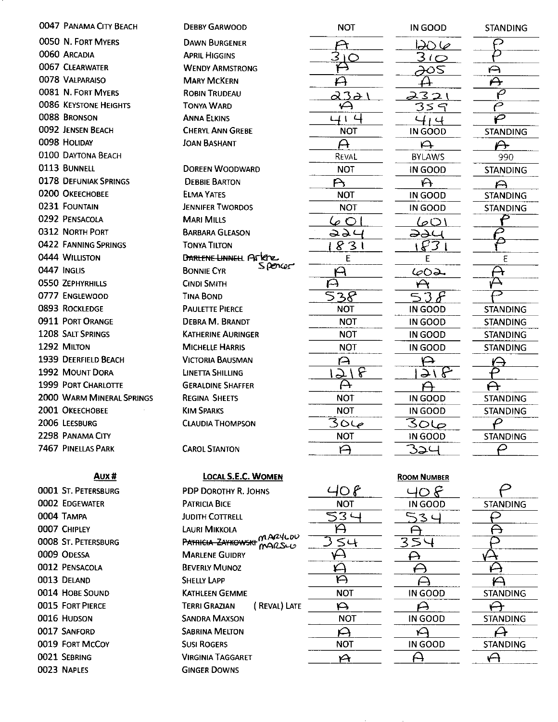0047 PANAMA CITY BEACH 0050 N. FORT MYERS 0060 ARCADIA 0067 CLEARWATER 0078 VALPARAISO 0081 N. FORT MYERS **0086 KEYSTONE HEIGHTS** 0088 BRONSON 0092 JENSEN BEACH 0098 HOLIDAY 0100 DAYTONA BEACH 0113 BUNNELL **0178 DEFUNIAK SPRINGS** 0200 OKEECHOBEE 0231 FOUNTAIN 0292 PENSACOLA **0312 NORTH PORT** 0422 FANNING SPRINGS 0444 WILLISTON 0447 INGLIS **0550 ZEPHYRHILLS** 0777 ENGLEWOOD **0893 ROCKLEDGE** 0911 PORT ORANGE **1208 SALT SPRINGS** 1292 MILTON **1939 DEERFIELD BEACH** 1992 MOUNT DORA **1999 PORT CHARLOTTE 2000 WARM MINERAL SPRINGS** 2001 OKEECHOBEE 2006 LEESBURG 2298 PANAMA CITY **7467 PINELLAS PARK** 

Aux#

0001 ST. PETERSBURG 0002 EDGEWATER 0004 TAMPA 0007 CHIPLEY 0008 ST. PETERSBURG 0009 ODESSA 0012 PENSACOLA 0013 DELAND 0014 HOBE SOUND **0015 FORT PIERCE** 0016 HUDSON 0017 SANFORD 0019 FORT MCCOY 0021 SEBRING 0023 NAPLES

**DEBBY GARWOOD DAWN BURGENER APRIL HIGGINS WENDY ARMSTRONG MARY MCKERN ROBIN TRUDEAU TONYA WARD ANNA ELKINS CHERYL ANN GREBE JOAN BASHANT DOREEN WOODWARD DEBBIE BARTON ELMA YATES JENNIFER TWORDOS MARI MILLS BARBARA GLEASON TONYA TILTON DARLENE LINNELL AFREE Spencer BONNIE CYR CINDI SMITH TINA BOND PAULETTE PIERCE** DEBRA M. BRANDT **KATHERINE AURINGER MICHELLE HARRIS VICTORIA BAUSMAN** LINETTA SHILLING **GERALDINE SHAFFER REGINA SHEETS KIM SPARKS CLAUDIA THOMPSON CAROL STANTON** 

| <b>NOT</b>                   |
|------------------------------|
|                              |
| Ć                            |
|                              |
|                              |
|                              |
|                              |
| ć,<br>t<br>١<br>ł            |
| <b>NOT</b>                   |
|                              |
| Reval                        |
| NOT                          |
| ١<br>F                       |
| <b>NOT</b>                   |
| <b>NOT</b>                   |
| ڝا<br>ť<br>I                 |
|                              |
| ı                            |
| E                            |
|                              |
|                              |
| δ<br>$\overline{\mathbf{z}}$ |
| NOT                          |
| <b>NOT</b>                   |
| <b>NOT</b>                   |
| <b>NOT</b>                   |
|                              |
| þ                            |
| f<br>ł                       |
| <b>NOT</b>                   |
| <b>NOT</b>                   |
| Ĉ<br>١L                      |
| <b>NOT</b>                   |
|                              |
| ť                            |
|                              |

| IN GOOD        | <b>STANDING</b> |
|----------------|-----------------|
| <u> DO 60</u>  |                 |
| $\overline{O}$ |                 |
|                |                 |
|                |                 |
|                |                 |
|                |                 |
| 414            |                 |
| IN GOOD        | STANDING        |
| $\overline{P}$ | $\mapsto$       |
| <b>BYLAWS</b>  | 990             |
| IN GOOD        | <b>STANDING</b> |
| $\mathsf{A}$   | $\Theta$        |
| IN GOOD        | <b>STANDING</b> |
| IN GOOD        | <b>STANDING</b> |
| 1001           |                 |
| <b>PALL</b>    |                 |
|                |                 |
|                | E               |
| 60             |                 |
|                |                 |
|                |                 |
| IN GOOD        | <b>STANDING</b> |
| IN GOOD        | <b>STANDING</b> |
| IN GOOD        | <b>STANDING</b> |
| IN GOOD        | <b>STANDING</b> |
|                |                 |
| うしく            |                 |
|                |                 |
| IN GOOD        | <b>STANDING</b> |
| IN GOOD        | <b>STANDING</b> |
| <u> ماه3</u>   |                 |
| IN GOOD        | <b>STANDING</b> |
| 324            |                 |
|                |                 |

G

|  | LOCAL S.E.C. WOMEN |
|--|--------------------|
|  |                    |

PDP DOROTHY R. JOHNS **PATRICIA BICE JUDITH COTTRELL LAURI MIKKOLA** PATRICIA ZAYKOWSKI MARYLOU **MARLENE GUIDRY BEVERLY MUNOZ SHELLY LAPP KATHLEEN GEMME TERRI GRAZIAN** (REVAL) LATE **SANDRA MAXSON SABRINA MELTON SUSI ROGERS VIRGINIA TAGGARET GINGER DOWNS** 

|            | <b>ROOM NUMBER</b> |
|------------|--------------------|
| 40 P       | <u>40 F</u>        |
| <b>NOT</b> | IN GOOD            |
| こつ         |                    |
|            |                    |
| S4         |                    |
|            |                    |
|            |                    |
|            |                    |
| NOT        | IN GOOD            |
|            |                    |
| NOT        | IN GOOD            |
|            |                    |
| NOT        | IN GOOD            |
|            |                    |
|            |                    |

| <b>STANDING</b> |
|-----------------|
|                 |
|                 |
|                 |
|                 |
|                 |
|                 |
| STANDING        |
|                 |
| STANDING        |
|                 |
| <b>STANDING</b> |
|                 |
|                 |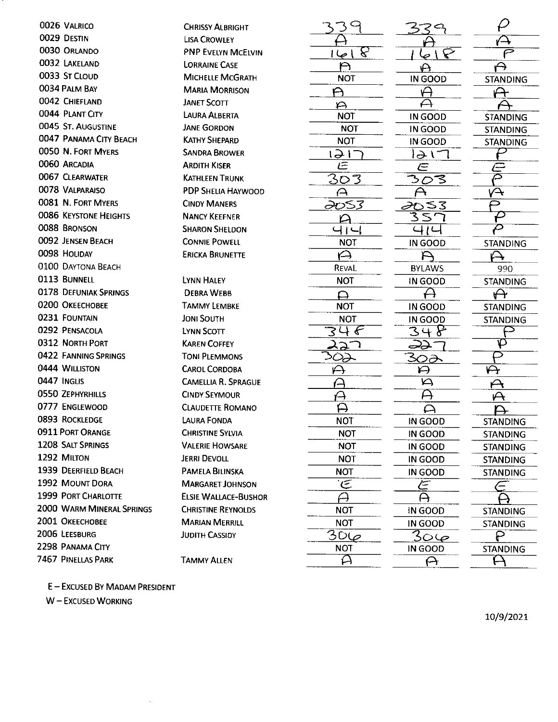0026 VALRICO 0029 DESTIN 0030 ORLANDO 0032 LAKFLAND 0033 ST CLOUD 0034 PALM BAY 0042 CHIEFLAND 0044 PLANT CITY 0045 ST. AUGUSTINE 0047 PANAMA CITY BEACH 0050 N. FORT MYERS 0060 ARCADIA 0067 CLEARWATER 0078 VALPARAISO 0081 N. FORT MYFRS **0086 KEYSTONE HEIGHTS** 0088 BRONSON 0092 JENSEN BEACH 0098 HOLIDAY 0100 DAYTONA BEACH 0113 BUNNELL **0178 DEFUNIAK SPRINGS** 0200 OKEECHOBEE 0231 FOUNTAIN 0292 PENSACOLA **0312 NORTH PORT** 0422 FANNING SPRINGS 0444 WILLISTON 0447 INGLIS **0550 ZEPHYRHILLS** 0777 ENGLEWOOD 0893 ROCKLEDGE **0911 PORT ORANGE 1208 SALT SPRINGS** 1292 MILTON **1939 DEERFIELD BEACH** 1992 MOUNT DORA **1999 PORT CHARLOTTE 2000 WARM MINERAL SPRINGS** 2001 ОКЕЕСНОВЕЕ 2006 LEESBURG 2298 PANAMA CITY 7467 PINELLAS PARK

**CHRISSY AI BRIGHT LISA CROWLEY PNP EVELYN MCEIVIN LORRAINE CASE MICHELLE MCGRATH MARIA MORRISON JANET SCOTT LAURA ALBERTA JANE GORDON KATHY SHEPARD SANDRA BROWER ARDITH KISER KATHLEEN TRUNK PDP SHELIA HAYWOOD CINDY MANERS NANCY KEEFNER SHARON SHELDON CONNIE POWELL ERICKA BRUNETTE LYNN HALEY DEBRA WEBB TAMMY LEMBKE JONI SOUTH LYNN SCOTT KAREN COFFEY TONI PLEMMONS CAROL CORDOBA CAMELLIA R. SPRAGUE CINDY SEYMOUR CLAUDETTE ROMANO LAURA FONDA CHRISTINE SYLVIA VALERIE HOWSARE JERRI DEVOLL** PAMELA BILINSKA **MARGARET JOHNSON ELSIE WALLACE-BUSHOR CHRISTINE REYNOLDS MARIAN MERRILL JUDITH CASSIDY** 

**TAMMY ALLEN** 

| ς               |  |
|-----------------|--|
|                 |  |
| ι<br>l<br>١     |  |
| ١               |  |
| ЮT<br>ľ         |  |
| ۴               |  |
| ¥               |  |
| <b>NOT</b>      |  |
| <b>NOT</b>      |  |
| <b>NOT</b>      |  |
| ۱<br>l<br>ł     |  |
|                 |  |
| ľ               |  |
|                 |  |
|                 |  |
|                 |  |
| ć<br>Ľ          |  |
| i<br><b>NOT</b> |  |
|                 |  |
| REVAL           |  |
| <b>NOT</b>      |  |
|                 |  |
|                 |  |
| JОT<br>ľ        |  |
| Ń<br>דכ         |  |
| ć               |  |
| ì               |  |
|                 |  |
|                 |  |
|                 |  |
|                 |  |
|                 |  |
| <b>NOT</b>      |  |
| <b>NOT</b>      |  |
| <b>NOT</b>      |  |
| <b>NOT</b>      |  |
| <b>NOT</b>      |  |
| Ġ               |  |
|                 |  |
| NOT             |  |
| <b>NOT</b>      |  |
| Ōί<br>4<br>٬    |  |
| NOT             |  |
| Ĺ               |  |

 $\curvearrowright$  $e \rvert \bar{\nabla}$  $\Theta$ ↔ IN GOOD **STANDING**  $\Theta$  $\Theta$  $\bm{\mathsf{\vartriangle}}$  $\bm{\mathsf{\rightarrow}}$ IN GOOD **STANDING** IN GOOD **STANDING** IN GOOD **STANDING** ハー  $\in$ ∕≕ ≅ ろのろ  $\overline{\bm{A}}$  $\overline{\curvearrowleft}$ ∂బ≤౩ っ <u>रेटर</u>  $\overline{\mathcal{D}}$  $\varphi$ 414 IN GOOD **STANDING** A ♤ **BYLAWS** 990 IN GOOD **STANDING** А ⊖⊬ IN GOOD **STANDING** IN GOOD **STANDING** 348  $\mathcal{D}$ س دھ  $\overline{P}$ 302  $\leftrightarrow$  $\boldsymbol{\varphi}$  $\overline{\mathsf{D}}$ A Ā  $\boldsymbol{\mathsf{P}}$  $\Delta$ A. IN GOOD **STANDING** IN GOOD **STANDING** IN GOOD **STANDING** IN GOOD **STANDING** IN GOOD **STANDING** سيم ⊂ A ↔ IN GOOD **STANDING** IN GOOD **STANDING**  $306$ ဥ IN GOOD **STANDING**  $\mathcal{L}% _{A}$ ⊖

 $\overline{\mathcal{P}}$ 

Բ

E - EXCUSED BY MADAM PRESIDENT

W-EXCUSED WORKING

10/9/2021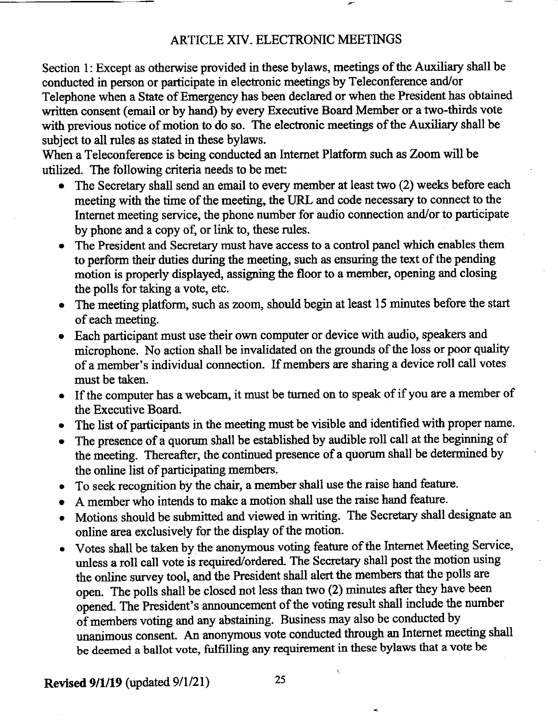# ARTICLE XIV. ELECTRONIC MEETINGS

Section 1: Except as otherwise provided in these bylaws, meetings of the Auxiliary shall be conducted in person or participate in electronic meetings by Teleconference and/or Telephone when a State of Emergency has been declared or when the President has obtained written consent (email or by hand) by every Executive Board Member or a two-thirds vote with previous notice of motion to do so. The electronic meetings of the Auxiliary shall be subject to all rules as stated in these bylaws.

When a Teleconference is being conducted an Internet Platform such as Zoom will be utilized. The following criteria needs to be met:

- The Secretary shall send an email to every member at least two (2) weeks before each meeting with the time of the meeting, the URL and code necessary to connect to the Internet meeting service, the phone number for audio connection and/or to participate by phone and a copy of, or link to, these rules.
- The President and Secretary must have access to a control panel which enables them to perform their duties during the meeting, such as ensuring the text of the pending motion is properly displayed, assigning the floor to a member, opening and closing the polls for taking a vote, etc.
- The meeting platform, such as zoom, should begin at least 15 minutes before the start of each meeting.
- Each participant must use their own computer or device with audio, speakers and microphone. No action shall be invalidated on the grounds of the loss or poor quality of a member's individual connection. If members are sharing a device roll call votes must be taken.
- If the computer has a webcam, it must be turned on to speak of if you are a member of the Executive Board.
- The list of participants in the meeting must be visible and identified with proper name.
- The presence of a quorum shall be established by audible roll call at the beginning of the meeting. Thereafter, the continued presence of a quorum shall be determined by the online list of participating members.
- To seek recognition by the chair, a member shall use the raise hand feature.
- A member who intends to make a motion shall use the raise hand feature.
- Motions should be submitted and viewed in writing. The Secretary shall designate an online area exclusively for the display of the motion.
- Votes shall be taken by the anonymous voting feature of the Internet Meeting Service, unless a roll call vote is required/ordered. The Secretary shall post the motion using the online survey tool, and the President shall alert the members that the polls are open. The polls shall be closed not less than two (2) minutes after they have been opened. The President's announcement of the voting result shall include the number of members voting and any abstaining. Business may also be conducted by unanimous consent. An anonymous vote conducted through an Internet meeting shall be deemed a ballot vote, fulfilling any requirement in these bylaws that a vote be